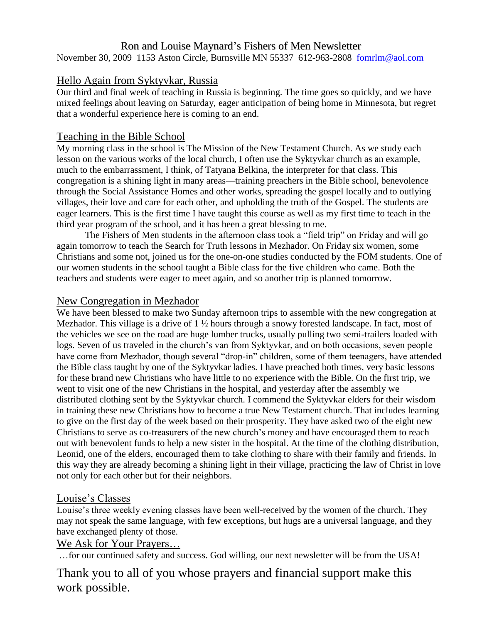## Ron and Louise Maynard's Fishers of Men Newsletter

November 30, 2009 1153 Aston Circle, Burnsville MN 55337 612-963-2808 [fomrlm@aol.com](mailto:fomrlm@aol.com)

### Hello Again from Syktyvkar, Russia

Our third and final week of teaching in Russia is beginning. The time goes so quickly, and we have mixed feelings about leaving on Saturday, eager anticipation of being home in Minnesota, but regret that a wonderful experience here is coming to an end.

## Teaching in the Bible School

My morning class in the school is The Mission of the New Testament Church. As we study each lesson on the various works of the local church, I often use the Syktyvkar church as an example, much to the embarrassment, I think, of Tatyana Belkina, the interpreter for that class. This congregation is a shining light in many areas—training preachers in the Bible school, benevolence through the Social Assistance Homes and other works, spreading the gospel locally and to outlying villages, their love and care for each other, and upholding the truth of the Gospel. The students are eager learners. This is the first time I have taught this course as well as my first time to teach in the third year program of the school, and it has been a great blessing to me.

The Fishers of Men students in the afternoon class took a "field trip" on Friday and will go again tomorrow to teach the Search for Truth lessons in Mezhador. On Friday six women, some Christians and some not, joined us for the one-on-one studies conducted by the FOM students. One of our women students in the school taught a Bible class for the five children who came. Both the teachers and students were eager to meet again, and so another trip is planned tomorrow.

#### New Congregation in Mezhador

We have been blessed to make two Sunday afternoon trips to assemble with the new congregation at Mezhador. This village is a drive of 1 ½ hours through a snowy forested landscape. In fact, most of the vehicles we see on the road are huge lumber trucks, usually pulling two semi-trailers loaded with logs. Seven of us traveled in the church's van from Syktyvkar, and on both occasions, seven people have come from Mezhador, though several "drop-in" children, some of them teenagers, have attended the Bible class taught by one of the Syktyvkar ladies. I have preached both times, very basic lessons for these brand new Christians who have little to no experience with the Bible. On the first trip, we went to visit one of the new Christians in the hospital, and yesterday after the assembly we distributed clothing sent by the Syktyvkar church. I commend the Syktyvkar elders for their wisdom in training these new Christians how to become a true New Testament church. That includes learning to give on the first day of the week based on their prosperity. They have asked two of the eight new Christians to serve as co-treasurers of the new church's money and have encouraged them to reach out with benevolent funds to help a new sister in the hospital. At the time of the clothing distribution, Leonid, one of the elders, encouraged them to take clothing to share with their family and friends. In this way they are already becoming a shining light in their village, practicing the law of Christ in love not only for each other but for their neighbors.

## Louise's Classes

Louise's three weekly evening classes have been well-received by the women of the church. They may not speak the same language, with few exceptions, but hugs are a universal language, and they have exchanged plenty of those.

# We Ask for Your Prayers…

…for our continued safety and success. God willing, our next newsletter will be from the USA!

Thank you to all of you whose prayers and financial support make this work possible.